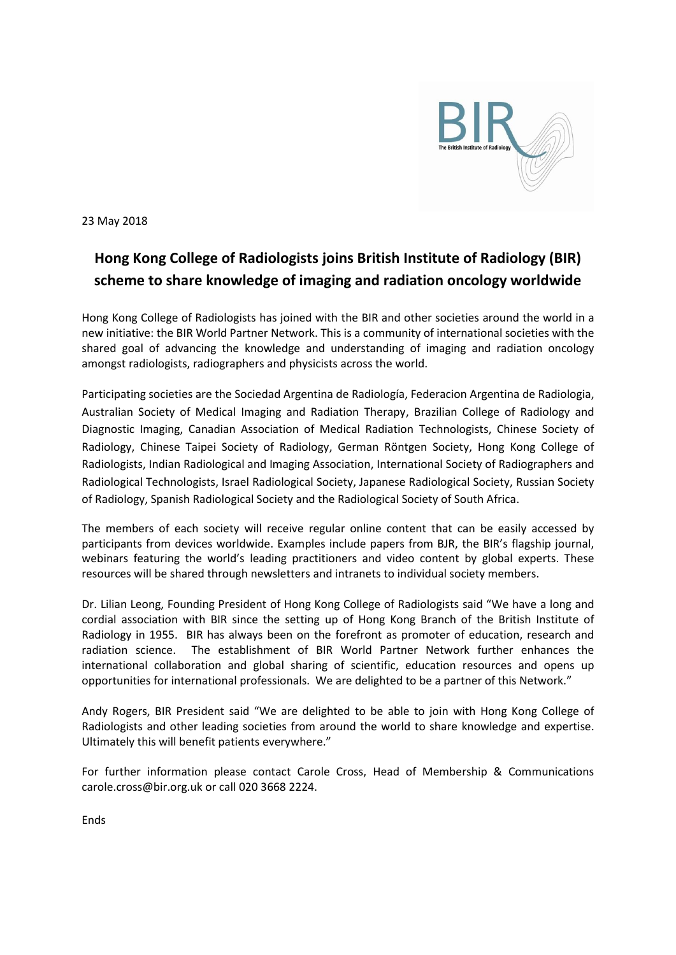

23 May 2018

## **Hong Kong College of Radiologists joins British Institute of Radiology (BIR) scheme to share knowledge of imaging and radiation oncology worldwide**

Hong Kong College of Radiologists has joined with the BIR and other societies around the world in a new initiative: the BIR World Partner Network. This is a community of international societies with the shared goal of advancing the knowledge and understanding of imaging and radiation oncology amongst radiologists, radiographers and physicists across the world.

Participating societies are the Sociedad Argentina de Radiología, Federacion Argentina de Radiologia, Australian Society of Medical Imaging and Radiation Therapy, Brazilian College of Radiology and Diagnostic Imaging, Canadian Association of Medical Radiation Technologists, Chinese Society of Radiology, Chinese Taipei Society of Radiology, German Röntgen Society, Hong Kong College of Radiologists, Indian Radiological and Imaging Association, International Society of Radiographers and Radiological Technologists, Israel Radiological Society, Japanese Radiological Society, Russian Society of Radiology, Spanish Radiological Society and the Radiological Society of South Africa.

The members of each society will receive regular online content that can be easily accessed by participants from devices worldwide. Examples include papers from BJR, the BIR's flagship journal, webinars featuring the world's leading practitioners and video content by global experts. These resources will be shared through newsletters and intranets to individual society members.

Dr. Lilian Leong, Founding President of Hong Kong College of Radiologists said "We have a long and cordial association with BIR since the setting up of Hong Kong Branch of the British Institute of Radiology in 1955. BIR has always been on the forefront as promoter of education, research and radiation science. The establishment of BIR World Partner Network further enhances the international collaboration and global sharing of scientific, education resources and opens up opportunities for international professionals. We are delighted to be a partner of this Network."

Andy Rogers, BIR President said "We are delighted to be able to join with Hong Kong College of Radiologists and other leading societies from around the world to share knowledge and expertise. Ultimately this will benefit patients everywhere."

For further information please contact Carole Cross, Head of Membership & Communications [carole.cross@bir.org.uk](mailto:carole.cross@bir.org.uk) or call 020 3668 2224.

Ends